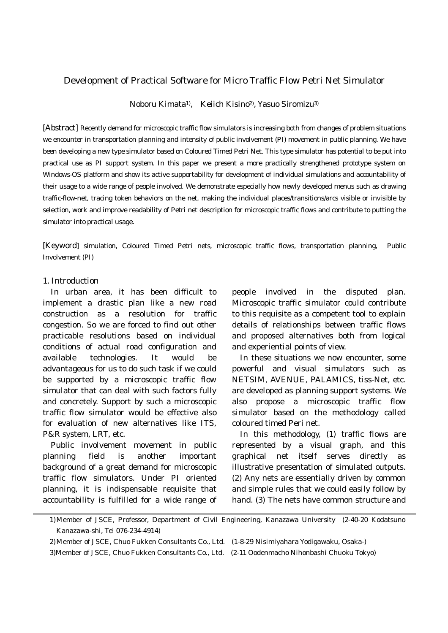# Development of Practical Software for Micro Traffic Flow Petri Net Simulator

Noboru Kimata1), Keiich Kisino2), Yasuo Siromizu3)

[Abstract] Recently demand for microscopic traffic flow simulators is increasing both from changes of problem situations we encounter in transportation planning and intensity of public involvement (PI) movement in public planning. We have been developing a new type simulator based on Coloured Timed Petri Net. This type simulator has potential to be put into practical use as PI support system. In this paper we present a more practically strengthened prototype system on Windows-OS platform and show its active supportability for development of individual simulations and accountability of their usage to a wide range of people involved. We demonstrate especially how newly developed menus such as drawing traffic-flow-net, tracing token behaviors on the net, making the individual places/transitions/arcs visible or invisible by selection, work and improve readability of Petri net description for microscopic traffic flows and contribute to putting the simulator into practical usage.

[Keyword] simulation, Coloured Timed Petri nets, microscopic traffic flows, transportation planning, Public Involvement (PI)

### 1. Introduction

 In urban area, it has been difficult to implement a drastic plan like a new road construction as a resolution for traffic congestion. So we are forced to find out other practicable resolutions based on individual conditions of actual road configuration and available technologies. It would be advantageous for us to do such task if we could be supported by a microscopic traffic flow simulator that can deal with such factors fully and concretely. Support by such a microscopic traffic flow simulator would be effective also for evaluation of new alternatives like ITS, P&R system, LRT, etc.

 Public involvement movement in public planning field is another important background of a great demand for microscopic traffic flow simulators. Under PI oriented planning, it is indispensable requisite that accountability is fulfilled for a wide range of

people involved in the disputed plan. Microscopic traffic simulator could contribute to this requisite as a competent tool to explain details of relationships between traffic flows and proposed alternatives both from logical and experiential points of view.

 In these situations we now encounter, some powerful and visual simulators such as NETSIM, AVENUE, PALAMICS, tiss-Net, etc. are developed as planning support systems. We also propose a microscopic traffic flow simulator based on the methodology called coloured timed Peri net.

 In this methodology, (1) traffic flows are represented by a visual graph, and this graphical net itself serves directly as illustrative presentation of simulated outputs. (2) Any nets are essentially driven by common and simple rules that we could easily follow by hand. (3) The nets have common structure and

<sup>1)</sup> Member of JSCE, Professor, Department of Civil Engineering, Kanazawa University (2-40-20 Kodatsuno Kanazawa-shi, Tel 076-234-4914)

<sup>2)</sup> Member of JSCE, Chuo Fukken Consultants Co., Ltd. (1-8-29 Nisimiyahara Yodigawaku, Osaka-)

<sup>3)</sup>Member of JSCE, Chuo Fukken Consultants Co., Ltd. (2-11 Oodenmacho Nihonbashi Chuoku Tokyo)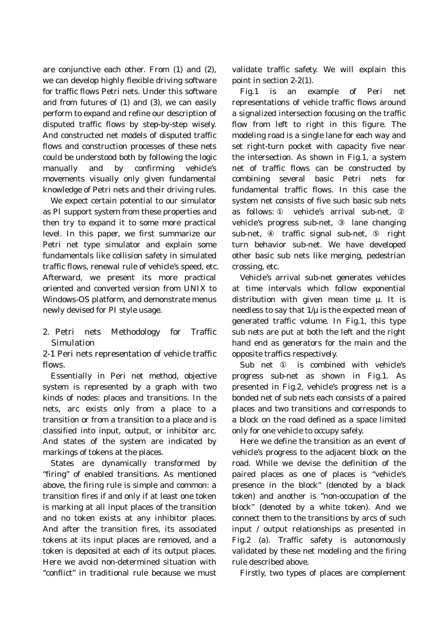are conjunctive each other. From (1) and (2), we can develop highly flexible driving software for traffic flows Petri nets. Under this software and from futures of (1) and (3), we can easily perform to expand and refine our description of disputed traffic flows by step-by-step wisely. And constructed net models of disputed traffic flows and construction processes of these nets could be understood both by following the logic manually and by confirming vehicle's movements visually only given fundamental knowledge of Petri nets and their driving rules.

 We expect certain potential to our simulator as PI support system from these properties and then try to expand it to some more practical level. In this paper, we first summarize our Petri net type simulator and explain some fundamentals like collision safety in simulated traffic flows, renewal rule of vehicle's speed, etc. Afterward, we present its more practical oriented and converted version from UNIX to Windows-OS platform, and demonstrate menus newly devised for PI style usage.

2. Petri nets Methodology for Traffic Simulation

2-1 Peri nets representation of vehicle traffic flows.

 Essentially in Peri net method, objective system is represented by a graph with two kinds of nodes: places and transitions. In the nets, arc exists only from a place to a transition or from a transition to a place and is classified into input, output, or inhibitor arc. And states of the system are indicated by markings of tokens at the places.

 States are dynamically transformed by "firing" of enabled transitions. As mentioned above, the firing rule is simple and common: a transition fires if and only if at least one token is marking at all input places of the transition and no token exists at any inhibitor places. And after the transition fires, its associated tokens at its input places are removed, and a token is deposited at each of its output places. Here we avoid non-determined situation with "conflict" in traditional rule because we must

validate traffic safety. We will explain this point in section 2-2(1).

 Fig.1 is an example of Peri net representations of vehicle traffic flows around a signalized intersection focusing on the traffic flow from left to right in this figure. The modeling road is a single lane for each way and set right-turn pocket with capacity five near the intersection. As shown in Fig.1, a system net of traffic flows can be constructed by combining several basic Petri nets for fundamental traffic flows. In this case the system net consists of five such basic sub nets as follows: vehicle's arrival sub-net, vehicle's progress sub-net, lane changing sub-net, traffic signal sub-net, right turn behavior sub-net. We have developed other basic sub nets like merging, pedestrian crossing, etc.

 Vehicle's arrival sub-net generates vehicles at time intervals which follow exponential distribution with given mean time  $\mu$ . It is needless to say that  $1/\mu$  is the expected mean of generated traffic volume. In Fig.1, this type sub nets are put at both the left and the right hand end as generators for the main and the opposite traffics respectively.

 Sub net is combined with vehicle's progress sub-net as shown in Fig.1. As presented in Fig.2, vehicle's progress net is a bonded net of sub nets each consists of a paired places and two transitions and corresponds to a block on the road defined as a space limited only for one vehicle to occupy safely.

 Here we define the transition as an event of vehicle's progress to the adjacent block on the road. While we devise the definition of the paired places as one of places is "vehicle's presence in the block" (denoted by a black token) and another is "non-occupation of the block" (denoted by a white token). And we connect them to the transitions by arcs of such input / output relationships as presented in Fig.2 (a). Traffic safety is autonomously validated by these net modeling and the firing rule described above.

Firstly, two types of places are complement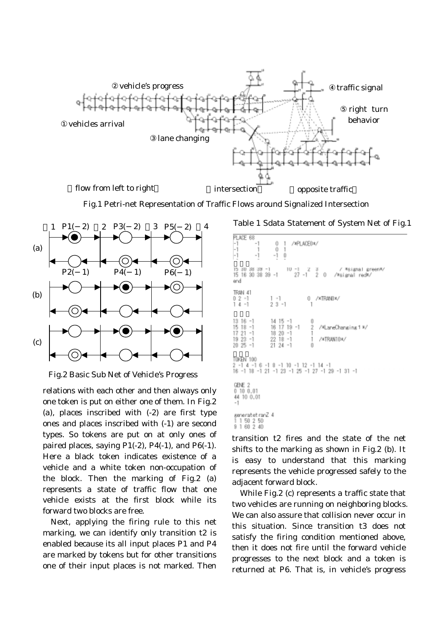

Fig.1 Petri-net Representation of Traffic Flows around Signalized Intersection

**PLACE AR** 



Fig.2 Basic Sub Net of Vehicle's Progress

relations with each other and then always only one token is put on either one of them. In Fig.2 (a), places inscribed with (-2) are first type ones and places inscribed with (-1) are second types. So tokens are put on at only ones of paired places, saying  $P1(-2)$ ,  $P4(-1)$ , and  $P6(-1)$ . Here a black token indicates existence of a vehicle and a white token non-occupation of the block. Then the marking of Fig.2 (a) represents a state of traffic flow that one vehicle exists at the first block while its forward two blocks are free.

 Next, applying the firing rule to this net marking, we can identify only transition t2 is enabled because its all input places P1 and P4 are marked by tokens but for other transitions one of their input places is not marked. Then

## Table 1 Sdata Statement of System Net of Fig.1

| $\frac{-1}{-1}$<br>/*FLADE0*/<br>-1<br>$\frac{1}{1}$<br>-1<br>-1<br>Ŭ                                                                                                                                                                                                             |
|-----------------------------------------------------------------------------------------------------------------------------------------------------------------------------------------------------------------------------------------------------------------------------------|
| 15 30 38 39 -1 10 -1 -2 3 / *signal green*/<br>15 16 30 38 39 -1 - 27 -1 -2 0 -/*signal red*/<br>end                                                                                                                                                                              |
| TRAN 41<br>0 /*TRAND*/<br>$02 - 1$<br>$\sim$ $\sim$ $\sim$<br>$23 - 1$<br>$14 - 1$<br>$\overline{1}$                                                                                                                                                                              |
| $13 \t16 \t-1$ $14 \t15 \t-1$<br>0<br>$\begin{array}{cc} 16 & 17 & 19 & -1 & 2 \\ 18 & 20 & -1 & 1 \\ 22 & 18 & -1 & 1 \\ 3 & 0 & 1 & 1 \end{array}$<br>15<br>$18 - 1$<br>/#LaneChanging 1 %/<br>$17$ 21 $-1$ 18 20 $-1$<br>$1923 - 1$<br>/*TRAN10*/<br>ň<br>20 25 -1<br>21 24 -1 |
| T0KEN 100<br>2 -1 4 -1 6 -1 8 -1 10 -1 12 -1 14 -1<br>16 -1 18 -1 21 -1 23 -1 25 -1 27 -1 29 -1 31 -1                                                                                                                                                                             |
| GENE 2<br>0 10 0.01<br>44 10 0.01<br>$-1$                                                                                                                                                                                                                                         |
| seneratet ranZ 4                                                                                                                                                                                                                                                                  |



transition t2 fires and the state of the net shifts to the marking as shown in Fig.2 (b). It is easy to understand that this marking represents the vehicle progressed safely to the adjacent forward block.

 While Fig.2 (c) represents a traffic state that two vehicles are running on neighboring blocks. We can also assure that collision never occur in this situation. Since transition t3 does not satisfy the firing condition mentioned above, then it does not fire until the forward vehicle progresses to the next block and a token is returned at P6. That is, in vehicle's progress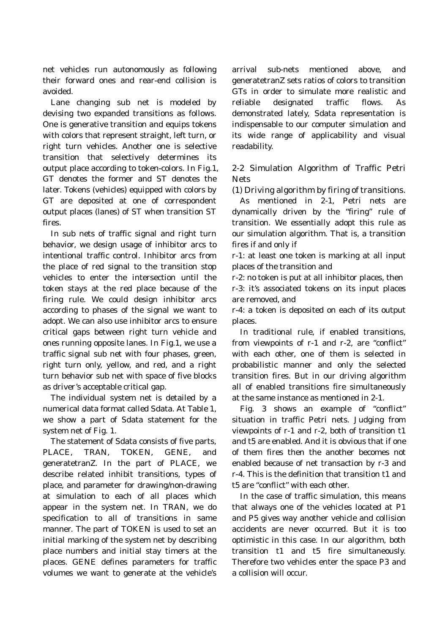net vehicles run autonomously as following their forward ones and rear-end collision is avoided.

 Lane changing sub net is modeled by devising two expanded transitions as follows. One is generative transition and equips tokens with colors that represent straight, left turn, or right turn vehicles. Another one is selective transition that selectively determines its output place according to token-colors. In Fig.1, GT denotes the former and ST denotes the later. Tokens (vehicles) equipped with colors by GT are deposited at one of correspondent output places (lanes) of ST when transition ST fires.

 In sub nets of traffic signal and right turn behavior, we design usage of inhibitor arcs to intentional traffic control. Inhibitor arcs from the place of red signal to the transition stop vehicles to enter the intersection until the token stays at the red place because of the firing rule. We could design inhibitor arcs according to phases of the signal we want to adopt. We can also use inhibitor arcs to ensure critical gaps between right turn vehicle and ones running opposite lanes. In Fig.1, we use a traffic signal sub net with four phases, green, right turn only, yellow, and red, and a right turn behavior sub net with space of five blocks as driver's acceptable critical gap.

 The individual system net is detailed by a numerical data format called Sdata. At Table 1, we show a part of Sdata statement for the system net of Fig. 1.

 The statement of Sdata consists of five parts, PLACE, TRAN, TOKEN, GENE, and generatetranZ. In the part of PLACE, we describe related inhibit transitions, types of place, and parameter for drawing/non-drawing at simulation to each of all places which appear in the system net. In TRAN, we do specification to all of transitions in same manner. The part of TOKEN is used to set an initial marking of the system net by describing place numbers and initial stay timers at the places. GENE defines parameters for traffic volumes we want to generate at the vehicle's

arrival sub-nets mentioned above, and generatetranZ sets ratios of colors to transition GTs in order to simulate more realistic and reliable designated traffic flows. As demonstrated lately, Sdata representation is indispensable to our computer simulation and its wide range of applicability and visual readability.

2-2 Simulation Algorithm of Traffic Petri **Nets** 

(1) Driving algorithm by firing of transitions.

 As mentioned in 2-1, Petri nets are dynamically driven by the "firing" rule of transition. We essentially adopt this rule as our simulation algorithm. That is, a transition fires if and only if

r-1: at least one token is marking at all input places of the transition and

r-2: no token is put at all inhibitor places, then r-3: it's associated tokens on its input places are removed, and

r-4: a token is deposited on each of its output places.

 In traditional rule, if enabled transitions, from viewpoints of r-1 and r-2, are "conflict" with each other, one of them is selected in probabilistic manner and only the selected transition fires. But in our driving algorithm all of enabled transitions fire simultaneously at the same instance as mentioned in 2-1.

 Fig. 3 shows an example of "conflict" situation in traffic Petri nets. Judging from viewpoints of r-1 and r-2, both of transition t1 and t5 are enabled. And it is obvious that if one of them fires then the another becomes not enabled because of net transaction by r-3 and r-4. This is the definition that transition t1 and t5 are "conflict" with each other.

 In the case of traffic simulation, this means that always one of the vehicles located at P1 and P5 gives way another vehicle and collision accidents are never occurred. But it is too optimistic in this case. In our algorithm, both transition t1 and t5 fire simultaneously. Therefore two vehicles enter the space P3 and a collision will occur.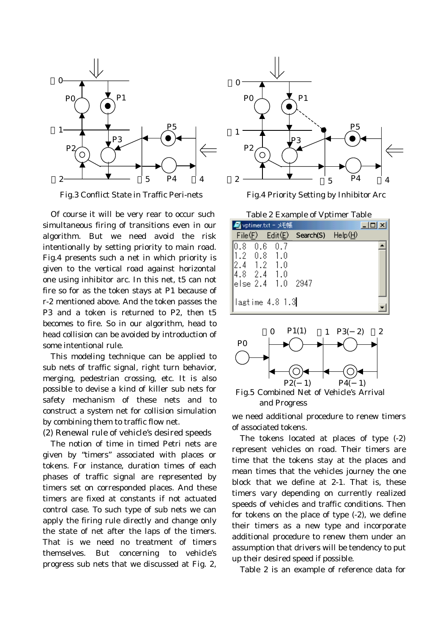

Fig.3 Conflict State in Traffic Peri-nets

 Of course it will be very rear to occur such simultaneous firing of transitions even in our algorithm. But we need avoid the risk intentionally by setting priority to main road. Fig.4 presents such a net in which priority is given to the vertical road against horizontal one using inhibitor arc. In this net, t5 can not fire so for as the token stays at P1 because of r-2 mentioned above. And the token passes the P3 and a token is returned to P2, then t5 becomes to fire. So in our algorithm, head to head collision can be avoided by introduction of some intentional rule.

 This modeling technique can be applied to sub nets of traffic signal, right turn behavior, merging, pedestrian crossing, etc. It is also possible to devise a kind of killer sub nets for safety mechanism of these nets and to construct a system net for collision simulation by combining them to traffic flow net.

(2) Renewal rule of vehicle's desired speeds

 The notion of time in timed Petri nets are given by "timers" associated with places or tokens. For instance, duration times of each phases of traffic signal are represented by timers set on corresponded places. And these timers are fixed at constants if not actuated control case. To such type of sub nets we can apply the firing rule directly and change only the state of net after the laps of the timers. That is we need no treatment of timers themselves. But concerning to vehicle's progress sub nets that we discussed at Fig. 2,



Fig.4 Priority Setting by Inhibitor Arc

Table 2 Example of Vptimer Table

|                                                           | ■ vptimer.txt - メモ帳                  |                                 |         |
|-----------------------------------------------------------|--------------------------------------|---------------------------------|---------|
|                                                           |                                      | File $(E)$ Edit $(E)$ Search(S) | HeIp(H) |
| 10.8<br>∥1.2 0.8 1.0<br>2.4 1.2 1.0<br>$ 4.8 \t2.4 \t1.0$ | $0.6\quad 0.7$<br>lelse 2.4 1.0 2947 |                                 |         |
|                                                           | lagtime 4.8 1.3                      |                                 |         |



and Progress

we need additional procedure to renew timers of associated tokens.

 The tokens located at places of type (-2) represent vehicles on road. Their timers are time that the tokens stay at the places and mean times that the vehicles journey the one block that we define at 2-1. That is, these timers vary depending on currently realized speeds of vehicles and traffic conditions. Then for tokens on the place of type (-2), we define their timers as a new type and incorporate additional procedure to renew them under an assumption that drivers will be tendency to put up their desired speed if possible.

Table 2 is an example of reference data for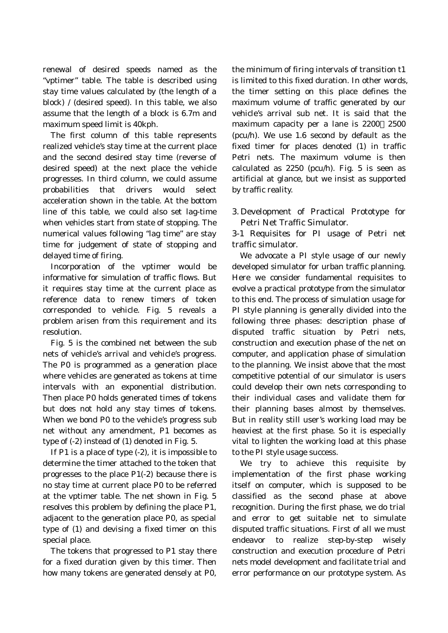renewal of desired speeds named as the "vptimer" table. The table is described using stay time values calculated by (the length of a block) / (desired speed). In this table, we also assume that the length of a block is 6.7m and maximum speed limit is 40kph.

 The first column of this table represents realized vehicle's stay time at the current place and the second desired stay time (reverse of desired speed) at the next place the vehicle progresses. In third column, we could assume probabilities that drivers would select acceleration shown in the table. At the bottom line of this table, we could also set lag-time when vehicles start from state of stopping. The numerical values following "lag time" are stay time for judgement of state of stopping and delayed time of firing.

 Incorporation of the vptimer would be informative for simulation of traffic flows. But it requires stay time at the current place as reference data to renew timers of token corresponded to vehicle. Fig. 5 reveals a problem arisen from this requirement and its resolution.

 Fig. 5 is the combined net between the sub nets of vehicle's arrival and vehicle's progress. The P0 is programmed as a generation place where vehicles are generated as tokens at time intervals with an exponential distribution. Then place P0 holds generated times of tokens but does not hold any stay times of tokens. When we bond P0 to the vehicle's progress sub net without any amendment, P1 becomes as type of (-2) instead of (1) denoted in Fig. 5.

 If P1 is a place of type (-2), it is impossible to determine the timer attached to the token that progresses to the place P1(-2) because there is no stay time at current place P0 to be referred at the vptimer table. The net shown in Fig. 5 resolves this problem by defining the place P1, adjacent to the generation place P0, as special type of (1) and devising a fixed timer on this special place.

 The tokens that progressed to P1 stay there for a fixed duration given by this timer. Then how many tokens are generated densely at P0, the minimum of firing intervals of transition t1 is limited to this fixed duration. In other words, the timer setting on this place defines the maximum volume of traffic generated by our vehicle's arrival sub net. It is said that the maximum capacity per a lane is 2200 2500 (pcu/h). We use 1.6 second by default as the fixed timer for places denoted (1) in traffic Petri nets. The maximum volume is then calculated as 2250 (pcu/h). Fig. 5 is seen as artificial at glance, but we insist as supported by traffic reality.

3. Development of Practical Prototype for Petri Net Traffic Simulator.

3-1 Requisites for PI usage of Petri net traffic simulator.

 We advocate a PI style usage of our newly developed simulator for urban traffic planning. Here we consider fundamental requisites to evolve a practical prototype from the simulator to this end. The process of simulation usage for PI style planning is generally divided into the following three phases: description phase of disputed traffic situation by Petri nets, construction and execution phase of the net on computer, and application phase of simulation to the planning. We insist above that the most competitive potential of our simulator is users could develop their own nets corresponding to their individual cases and validate them for their planning bases almost by themselves. But in reality still user's working load may be heaviest at the first phase. So it is especially vital to lighten the working load at this phase to the PI style usage success.

 We try to achieve this requisite by implementation of the first phase working itself on computer, which is supposed to be classified as the second phase at above recognition. During the first phase, we do trial and error to get suitable net to simulate disputed traffic situations. First of all we must endeavor to realize step-by-step wisely construction and execution procedure of Petri nets model development and facilitate trial and error performance on our prototype system. As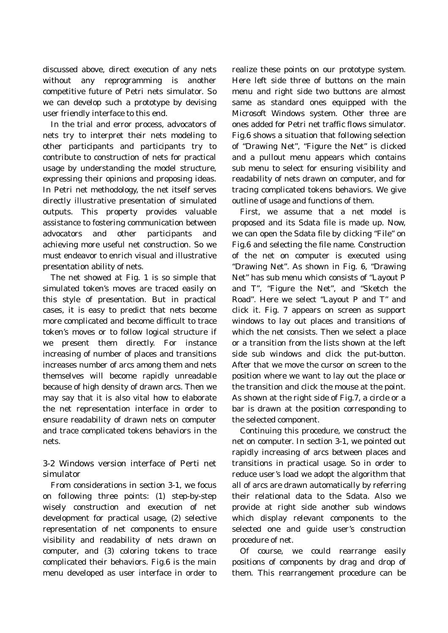discussed above, direct execution of any nets without any reprogramming is another competitive future of Petri nets simulator. So we can develop such a prototype by devising user friendly interface to this end.

 In the trial and error process, advocators of nets try to interpret their nets modeling to other participants and participants try to contribute to construction of nets for practical usage by understanding the model structure, expressing their opinions and proposing ideas. In Petri net methodology, the net itself serves directly illustrative presentation of simulated outputs. This property provides valuable assistance to fostering communication between advocators and other participants and achieving more useful net construction. So we must endeavor to enrich visual and illustrative presentation ability of nets.

 The net showed at Fig. 1 is so simple that simulated token's moves are traced easily on this style of presentation. But in practical cases, it is easy to predict that nets become more complicated and become difficult to trace token's moves or to follow logical structure if we present them directly. For instance increasing of number of places and transitions increases number of arcs among them and nets themselves will become rapidly unreadable because of high density of drawn arcs. Then we may say that it is also vital how to elaborate the net representation interface in order to ensure readability of drawn nets on computer and trace complicated tokens behaviors in the nets.

3-2 Windows version interface of Perti net simulator

 From considerations in section 3-1, we focus on following three points: (1) step-by-step wisely construction and execution of net development for practical usage, (2) selective representation of net components to ensure visibility and readability of nets drawn on computer, and (3) coloring tokens to trace complicated their behaviors. Fig.6 is the main menu developed as user interface in order to realize these points on our prototype system. Here left side three of buttons on the main menu and right side two buttons are almost same as standard ones equipped with the Microsoft Windows system. Other three are ones added for Petri net traffic flows simulator. Fig.6 shows a situation that following selection of "Drawing Net", "Figure the Net" is clicked and a pullout menu appears which contains sub menu to select for ensuring visibility and readability of nets drawn on computer, and for tracing complicated tokens behaviors. We give outline of usage and functions of them.

 First, we assume that a net model is proposed and its Sdata file is made up. Now, we can open the Sdata file by clicking "File" on Fig.6 and selecting the file name. Construction of the net on computer is executed using "Drawing Net". As shown in Fig. 6, "Drawing Net" has sub menu which consists of "Layout P and T", "Figure the Net", and "Sketch the Road". Here we select "Layout P and T" and click it. Fig. 7 appears on screen as support windows to lay out places and transitions of which the net consists. Then we select a place or a transition from the lists shown at the left side sub windows and click the put-button. After that we move the cursor on screen to the position where we want to lay out the place or the transition and click the mouse at the point. As shown at the right side of Fig.7, a circle or a bar is drawn at the position corresponding to the selected component.

 Continuing this procedure, we construct the net on computer. In section 3-1, we pointed out rapidly increasing of arcs between places and transitions in practical usage. So in order to reduce user's load we adopt the algorithm that all of arcs are drawn automatically by referring their relational data to the Sdata. Also we provide at right side another sub windows which display relevant components to the selected one and guide user's construction procedure of net.

 Of course, we could rearrange easily positions of components by drag and drop of them. This rearrangement procedure can be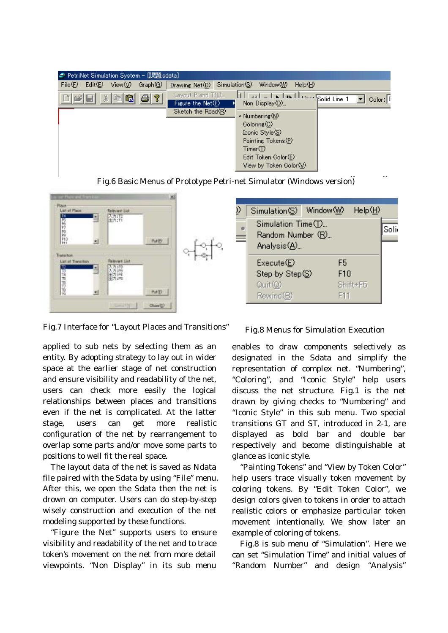| – PetriNet Simulation System - 『黒題.sdata』    |                                                                                                                                                                                                                                                                                                                       |  |  |  |
|----------------------------------------------|-----------------------------------------------------------------------------------------------------------------------------------------------------------------------------------------------------------------------------------------------------------------------------------------------------------------------|--|--|--|
| Edit(E)<br>View(V)<br>File(F)<br>Graph(G)    | Simulation(S)<br>HeIp(H)<br>Window (W)<br>Drawing Net(D)                                                                                                                                                                                                                                                              |  |  |  |
| $\left \frac{B}{2}\right $<br>太阳出<br>l s2 ⊟i | Layout P and T(L)<br>N I Is I I can bolid Line 1<br>$CoIor: \boxed{E}$<br>Figure the $Net(F)$<br>Non Display(D)<br>Sketch the Road(R)<br>v Numbering (N)<br>$\text{Coloring}(\text{C})$<br>Iconic Style (S)<br>Painting Tokens(P)<br>Time(T)<br>Edit Token Color(E)<br>View by Token Color $\setminus\!\!\!\setminus$ |  |  |  |

Fig.6 Basic Menus of Prototype Petri-net Simulator (Windows version)



Fig.7 Interface for "Layout Places and Transitions" Fig.8 Menus for Simulation Execution

applied to sub nets by selecting them as an entity. By adopting strategy to lay out in wider space at the earlier stage of net construction and ensure visibility and readability of the net, users can check more easily the logical relationships between places and transitions even if the net is complicated. At the latter stage, users can get more realistic configuration of the net by rearrangement to overlap some parts and/or move some parts to positions to well fit the real space.

 The layout data of the net is saved as Ndata file paired with the Sdata by using "File" menu. After this, we open the Sdata then the net is drown on computer. Users can do step-by-step wisely construction and execution of the net modeling supported by these functions.

 "Figure the Net" supports users to ensure visibility and readability of the net and to trace token's movement on the net from more detail viewpoints. "Non Display" in its sub menu

enables to draw components selectively as designated in the Sdata and simplify the representation of complex net. "Numbering", "Coloring", and "Iconic Style" help users discuss the net structure. Fig.1 is the net drawn by giving checks to "Numbering" and "Iconic Style" in this sub menu. Two special transitions GT and ST, introduced in 2-1, are displayed as bold bar and double bar respectively and become distinguishable at glance as iconic style.

 "Painting Tokens" and "View by Token Color" help users trace visually token movement by coloring tokens. By "Edit Token Color", we design colors given to tokens in order to attach realistic colors or emphasize particular token movement intentionally. We show later an example of coloring of tokens.

 Fig.8 is sub menu of "Simulation". Here we can set "Simulation Time" and initial values of "Random Number" and design "Analysis"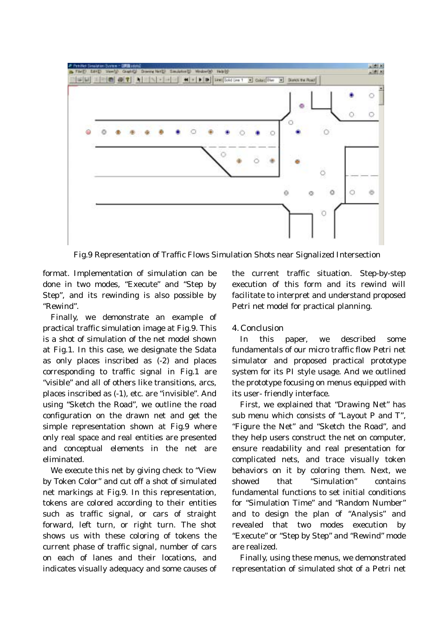

Fig.9 Representation of Traffic Flows Simulation Shots near Signalized Intersection

format. Implementation of simulation can be done in two modes, "Execute" and "Step by Step", and its rewinding is also possible by "Rewind".

 Finally, we demonstrate an example of practical traffic simulation image at Fig.9. This is a shot of simulation of the net model shown at Fig.1. In this case, we designate the Sdata as only places inscribed as (-2) and places corresponding to traffic signal in Fig.1 are "visible" and all of others like transitions, arcs, places inscribed as (-1), etc. are "invisible". And using "Sketch the Road", we outline the road configuration on the drawn net and get the simple representation shown at Fig.9 where only real space and real entities are presented and conceptual elements in the net are eliminated.

 We execute this net by giving check to "View by Token Color" and cut off a shot of simulated net markings at Fig.9. In this representation, tokens are colored according to their entities such as traffic signal, or cars of straight forward, left turn, or right turn. The shot shows us with these coloring of tokens the current phase of traffic signal, number of cars on each of lanes and their locations, and indicates visually adequacy and some causes of the current traffic situation. Step-by-step execution of this form and its rewind will facilitate to interpret and understand proposed Petri net model for practical planning.

## 4. Conclusion

 In this paper, we described some fundamentals of our micro traffic flow Petri net simulator and proposed practical prototype system for its PI style usage. And we outlined the prototype focusing on menus equipped with its user- friendly interface.

 First, we explained that "Drawing Net" has sub menu which consists of "Layout P and T", "Figure the Net" and "Sketch the Road", and they help users construct the net on computer, ensure readability and real presentation for complicated nets, and trace visually token behaviors on it by coloring them. Next, we showed that "Simulation" contains fundamental functions to set initial conditions for "Simulation Time" and "Random Number" and to design the plan of "Analysis" and revealed that two modes execution by "Execute" or "Step by Step" and "Rewind" mode are realized.

 Finally, using these menus, we demonstrated representation of simulated shot of a Petri net